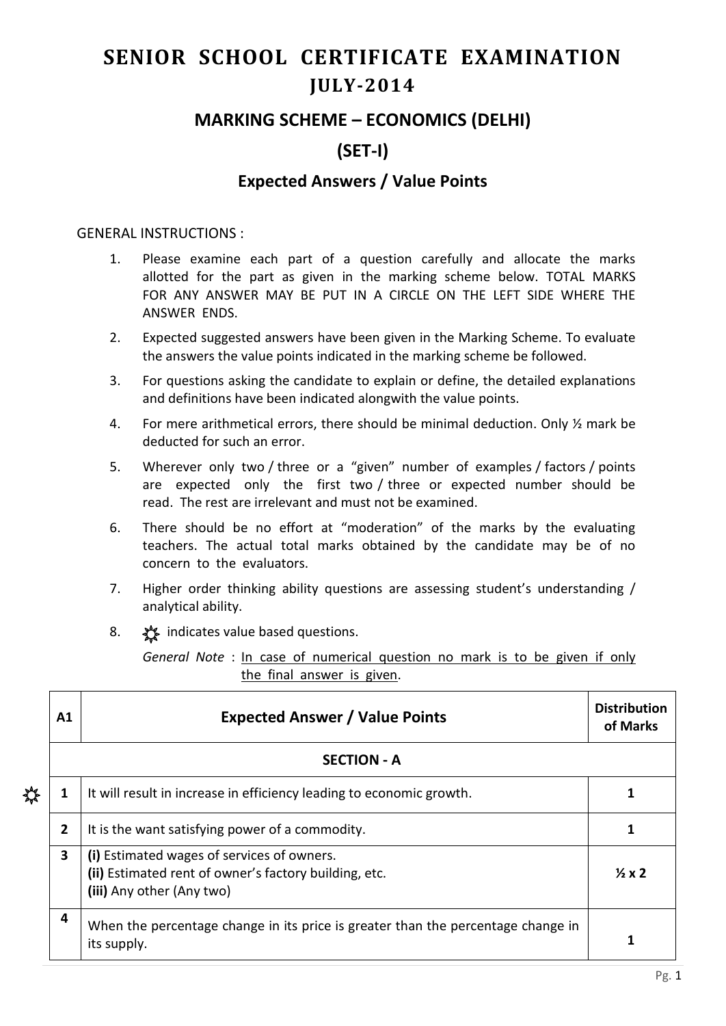# **SENIOR SCHOOL CERTIFICATE EXAMINATION JULY-2014**

## **MARKING SCHEME – ECONOMICS (DELHI)**

# **(SET-I)**

### **Expected Answers / Value Points**

#### GENERAL INSTRUCTIONS :

- 1. Please examine each part of a question carefully and allocate the marks allotted for the part as given in the marking scheme below. TOTAL MARKS FOR ANY ANSWER MAY BE PUT IN A CIRCLE ON THE LEFT SIDE WHERE THE ANSWER ENDS.
- 2. Expected suggested answers have been given in the Marking Scheme. To evaluate the answers the value points indicated in the marking scheme be followed.
- 3. For questions asking the candidate to explain or define, the detailed explanations and definitions have been indicated alongwith the value points.
- 4. For mere arithmetical errors, there should be minimal deduction. Only ½ mark be deducted for such an error.
- 5. Wherever only two / three or a "given" number of examples / factors / points are expected only the first two / three or expected number should be read. The rest are irrelevant and must not be examined.
- 6. There should be no effort at "moderation" of the marks by the evaluating teachers. The actual total marks obtained by the candidate may be of no concern to the evaluators.
- 7. Higher order thinking ability questions are assessing student's understanding / analytical ability.
- 8.  $\frac{1}{2}$  indicates value based questions.

*General Note* : In case of numerical question no mark is to be given if only the final answer is given.

| $\mathbf{A1}$      | <b>Expected Answer / Value Points</b>                                                                                            | <b>Distribution</b><br>of Marks |  |  |
|--------------------|----------------------------------------------------------------------------------------------------------------------------------|---------------------------------|--|--|
| <b>SECTION - A</b> |                                                                                                                                  |                                 |  |  |
| 1                  | It will result in increase in efficiency leading to economic growth.                                                             |                                 |  |  |
| $\mathbf{2}$       | It is the want satisfying power of a commodity.                                                                                  | 1                               |  |  |
| 3                  | (i) Estimated wages of services of owners.<br>(ii) Estimated rent of owner's factory building, etc.<br>(iii) Any other (Any two) | $\frac{1}{2}x2$                 |  |  |
| 4                  | When the percentage change in its price is greater than the percentage change in<br>its supply.                                  |                                 |  |  |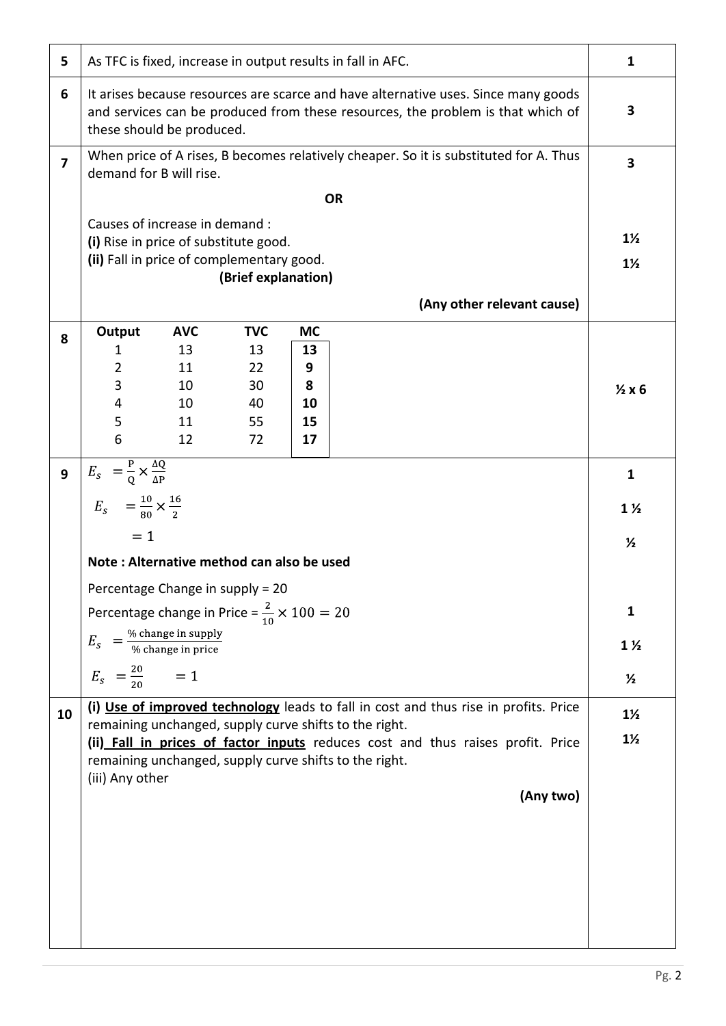| 5              | As TFC is fixed, increase in output results in fall in AFC.                                                                                                                                        |            |                     |              | $\mathbf{1}$               |                 |
|----------------|----------------------------------------------------------------------------------------------------------------------------------------------------------------------------------------------------|------------|---------------------|--------------|----------------------------|-----------------|
| 6              | It arises because resources are scarce and have alternative uses. Since many goods<br>and services can be produced from these resources, the problem is that which of<br>these should be produced. |            |                     | 3            |                            |                 |
| $\overline{7}$ | When price of A rises, B becomes relatively cheaper. So it is substituted for A. Thus<br>demand for B will rise.                                                                                   |            |                     |              | $\overline{\mathbf{3}}$    |                 |
|                | <b>OR</b>                                                                                                                                                                                          |            |                     |              |                            |                 |
|                | Causes of increase in demand :                                                                                                                                                                     |            |                     |              |                            | $1\frac{1}{2}$  |
|                | (i) Rise in price of substitute good.<br>(ii) Fall in price of complementary good.                                                                                                                 |            |                     |              |                            | $1\frac{1}{2}$  |
|                |                                                                                                                                                                                                    |            | (Brief explanation) |              |                            |                 |
|                |                                                                                                                                                                                                    |            |                     |              | (Any other relevant cause) |                 |
| 8              | Output                                                                                                                                                                                             | <b>AVC</b> | <b>TVC</b>          | <b>MC</b>    |                            |                 |
|                | 1<br>$\overline{2}$                                                                                                                                                                                | 13<br>11   | 13<br>22            | 13<br>9      |                            |                 |
|                | 3                                                                                                                                                                                                  | 10         | 30                  | 8            |                            | $\frac{1}{2}x6$ |
|                | 4                                                                                                                                                                                                  | 10         | 40                  | 10           |                            |                 |
|                | 5<br>6                                                                                                                                                                                             | 11<br>12   | 55<br>72            | 15<br>17     |                            |                 |
|                |                                                                                                                                                                                                    |            |                     |              |                            |                 |
| 9              | $E_{s} = \frac{P}{Q} \times \frac{\Delta Q}{\Delta P}$                                                                                                                                             |            |                     |              |                            | $\mathbf{1}$    |
|                | $E_{s} = \frac{10}{80} \times \frac{16}{2}$                                                                                                                                                        |            |                     |              |                            | $1\frac{1}{2}$  |
|                | $= 1$                                                                                                                                                                                              |            |                     |              |                            | $\frac{1}{2}$   |
|                | Note: Alternative method can also be used                                                                                                                                                          |            |                     |              |                            |                 |
|                | Percentage Change in supply = 20                                                                                                                                                                   |            |                     |              |                            |                 |
|                | Percentage change in Price = $\frac{2}{10} \times 100 = 20$                                                                                                                                        |            |                     | $\mathbf{1}$ |                            |                 |
|                | $E_s = \frac{\% \text{ change in supply}}{\% \text{ change in price}}$                                                                                                                             |            |                     |              | $1\frac{1}{2}$             |                 |
|                | $E_s = \frac{20}{20}$ = 1                                                                                                                                                                          |            |                     |              | $\frac{1}{2}$              |                 |
| 10             | (i) Use of improved technology leads to fall in cost and thus rise in profits. Price                                                                                                               |            |                     |              | $1\frac{1}{2}$             |                 |
|                | remaining unchanged, supply curve shifts to the right.                                                                                                                                             |            |                     |              | $1\frac{1}{2}$             |                 |
|                | (ii) Fall in prices of factor inputs reduces cost and thus raises profit. Price<br>remaining unchanged, supply curve shifts to the right.                                                          |            |                     |              |                            |                 |
|                | (iii) Any other                                                                                                                                                                                    |            |                     |              |                            |                 |
|                | (Any two)                                                                                                                                                                                          |            |                     |              |                            |                 |
|                |                                                                                                                                                                                                    |            |                     |              |                            |                 |
|                |                                                                                                                                                                                                    |            |                     |              |                            |                 |
|                |                                                                                                                                                                                                    |            |                     |              |                            |                 |
|                |                                                                                                                                                                                                    |            |                     |              |                            |                 |
|                |                                                                                                                                                                                                    |            |                     |              |                            |                 |
|                |                                                                                                                                                                                                    |            |                     |              |                            |                 |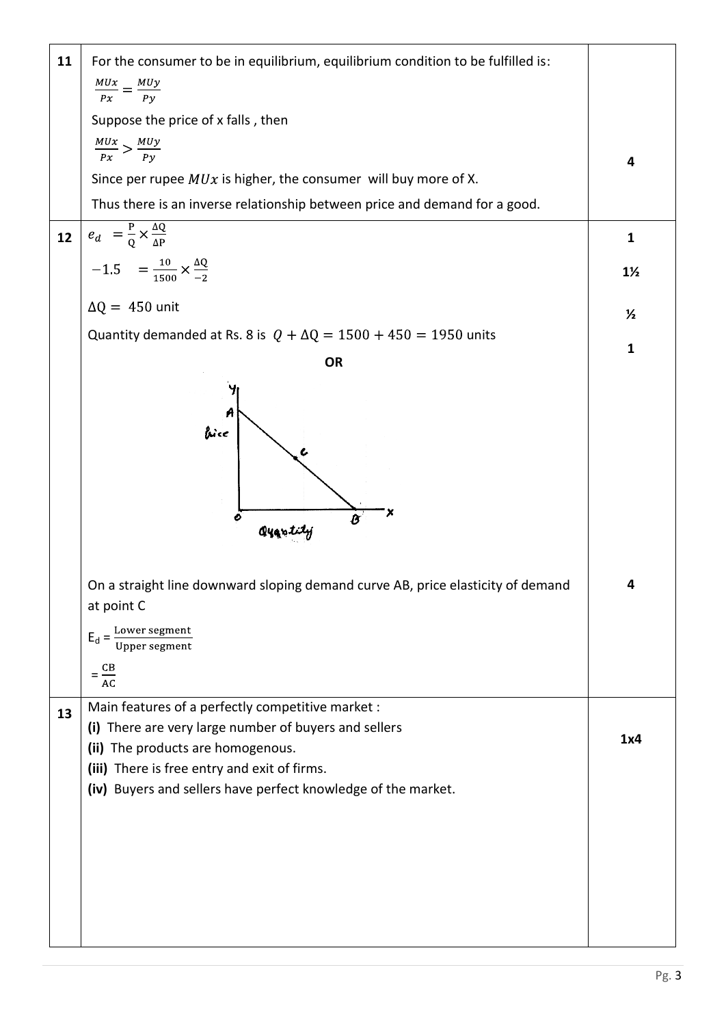| 11 | For the consumer to be in equilibrium, equilibrium condition to be fulfilled is:           |                |
|----|--------------------------------------------------------------------------------------------|----------------|
|    | $\frac{MUx}{Px} = \frac{MUy}{Py}$                                                          |                |
|    | Suppose the price of x falls, then                                                         |                |
|    |                                                                                            |                |
|    | $\frac{MUx}{Px} > \frac{MUy}{Py}$                                                          | 4              |
|    | Since per rupee $MUx$ is higher, the consumer will buy more of X.                          |                |
|    | Thus there is an inverse relationship between price and demand for a good.                 |                |
| 12 | $e_d = \frac{P}{Q} \times \frac{\Delta Q}{\Delta P}$                                       | $\mathbf{1}$   |
|    | $-1.5 = \frac{10}{1500} \times \frac{\Delta Q}{-2}$                                        | $1\frac{1}{2}$ |
|    | $\Delta Q = 450$ unit                                                                      | $\frac{1}{2}$  |
|    | Quantity demanded at Rs. 8 is $Q + \Delta Q = 1500 + 450 = 1950$ units                     |                |
|    | <b>OR</b>                                                                                  | $\mathbf{1}$   |
|    |                                                                                            |                |
|    |                                                                                            |                |
|    | bice                                                                                       |                |
|    |                                                                                            |                |
|    |                                                                                            |                |
|    | o                                                                                          |                |
|    | Qyantity                                                                                   |                |
|    |                                                                                            |                |
|    | On a straight line downward sloping demand curve AB, price elasticity of demand            | 4              |
|    | at point C                                                                                 |                |
|    | Lower segment<br>$E_d =$<br>Upper segment                                                  |                |
|    |                                                                                            |                |
|    | $=\frac{CB}{AC}$                                                                           |                |
| 13 | Main features of a perfectly competitive market :                                          |                |
|    | (i) There are very large number of buyers and sellers<br>(ii) The products are homogenous. | 1x4            |
|    | (iii) There is free entry and exit of firms.                                               |                |
|    | (iv) Buyers and sellers have perfect knowledge of the market.                              |                |
|    |                                                                                            |                |
|    |                                                                                            |                |
|    |                                                                                            |                |
|    |                                                                                            |                |
|    |                                                                                            |                |
|    |                                                                                            |                |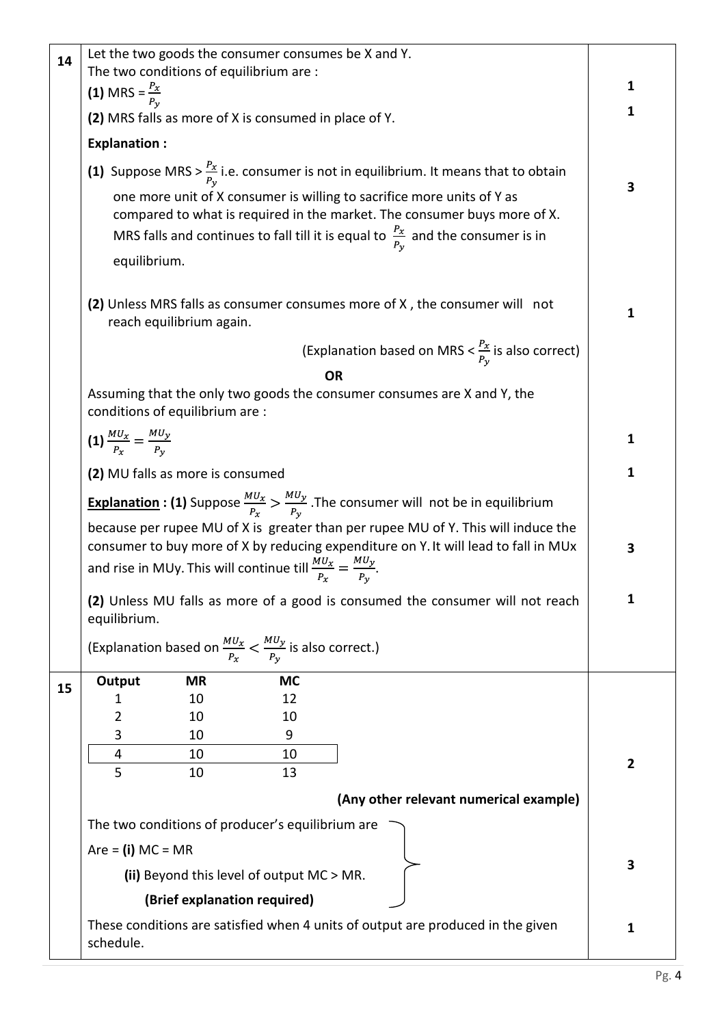| 14 | Let the two goods the consumer consumes be X and Y.<br>The two conditions of equilibrium are :                                                                                                                                                                 |           |                                                                                                                                                                                                                                                    |              |
|----|----------------------------------------------------------------------------------------------------------------------------------------------------------------------------------------------------------------------------------------------------------------|-----------|----------------------------------------------------------------------------------------------------------------------------------------------------------------------------------------------------------------------------------------------------|--------------|
|    | (1) MRS = $\frac{P_x}{P_{y_x}}$                                                                                                                                                                                                                                |           |                                                                                                                                                                                                                                                    | 1            |
|    | (2) MRS falls as more of X is consumed in place of Y.                                                                                                                                                                                                          |           |                                                                                                                                                                                                                                                    | 1            |
|    | <b>Explanation:</b>                                                                                                                                                                                                                                            |           |                                                                                                                                                                                                                                                    |              |
|    |                                                                                                                                                                                                                                                                |           | (1) Suppose MRS > $\frac{P_x}{P_y}$ i.e. consumer is not in equilibrium. It means that to obtain                                                                                                                                                   |              |
|    | equilibrium.                                                                                                                                                                                                                                                   |           | one more unit of X consumer is willing to sacrifice more units of Y as<br>compared to what is required in the market. The consumer buys more of X.<br>MRS falls and continues to fall till it is equal to $\frac{P_x}{P_v}$ and the consumer is in | 3            |
|    | reach equilibrium again.                                                                                                                                                                                                                                       |           | (2) Unless MRS falls as consumer consumes more of X, the consumer will not                                                                                                                                                                         | 1            |
|    |                                                                                                                                                                                                                                                                |           | (Explanation based on MRS $<\frac{P_x}{P_v}$ is also correct)                                                                                                                                                                                      |              |
|    |                                                                                                                                                                                                                                                                |           | <b>OR</b>                                                                                                                                                                                                                                          |              |
|    | conditions of equilibrium are :                                                                                                                                                                                                                                |           | Assuming that the only two goods the consumer consumes are X and Y, the                                                                                                                                                                            |              |
|    | (1) $\frac{MU_x}{P_x} = \frac{MU_y}{P_y}$                                                                                                                                                                                                                      |           |                                                                                                                                                                                                                                                    | 1            |
|    | (2) MU falls as more is consumed                                                                                                                                                                                                                               |           |                                                                                                                                                                                                                                                    | 1            |
|    | <b>Explanation : (1)</b> Suppose $\frac{MU_x}{P_x} > \frac{MU_y}{P_y}$ . The consumer will not be in equilibrium                                                                                                                                               |           |                                                                                                                                                                                                                                                    |              |
|    | because per rupee MU of X is greater than per rupee MU of Y. This will induce the<br>consumer to buy more of X by reducing expenditure on Y. It will lead to fall in MUx<br>and rise in MUy. This will continue till $\frac{M U_x}{P_x} = \frac{M U_y}{P_y}$ . |           |                                                                                                                                                                                                                                                    |              |
|    |                                                                                                                                                                                                                                                                |           |                                                                                                                                                                                                                                                    |              |
|    | equilibrium.                                                                                                                                                                                                                                                   |           | (2) Unless MU falls as more of a good is consumed the consumer will not reach                                                                                                                                                                      | 1            |
|    | (Explanation based on $\frac{M U_x}{P_x} < \frac{M U_y}{P_y}$ is also correct.)                                                                                                                                                                                |           |                                                                                                                                                                                                                                                    |              |
| 15 | Output<br><b>MR</b>                                                                                                                                                                                                                                            | <b>MC</b> |                                                                                                                                                                                                                                                    |              |
|    | 10<br>1                                                                                                                                                                                                                                                        | 12        |                                                                                                                                                                                                                                                    |              |
|    | 2<br>10<br>10<br>3                                                                                                                                                                                                                                             | 10<br>9   |                                                                                                                                                                                                                                                    |              |
|    | 4<br>10                                                                                                                                                                                                                                                        | 10        |                                                                                                                                                                                                                                                    |              |
|    | 5<br>10                                                                                                                                                                                                                                                        | 13        |                                                                                                                                                                                                                                                    | $\mathbf{2}$ |
|    |                                                                                                                                                                                                                                                                |           | (Any other relevant numerical example)                                                                                                                                                                                                             |              |
|    | The two conditions of producer's equilibrium are                                                                                                                                                                                                               |           |                                                                                                                                                                                                                                                    |              |
|    | Are $=$ (i) MC $=$ MR                                                                                                                                                                                                                                          |           |                                                                                                                                                                                                                                                    |              |
|    | (ii) Beyond this level of output MC > MR.                                                                                                                                                                                                                      |           |                                                                                                                                                                                                                                                    | 3            |
|    | (Brief explanation required)                                                                                                                                                                                                                                   |           |                                                                                                                                                                                                                                                    |              |
|    | schedule.                                                                                                                                                                                                                                                      |           | These conditions are satisfied when 4 units of output are produced in the given                                                                                                                                                                    | $\mathbf{1}$ |

Pg. 4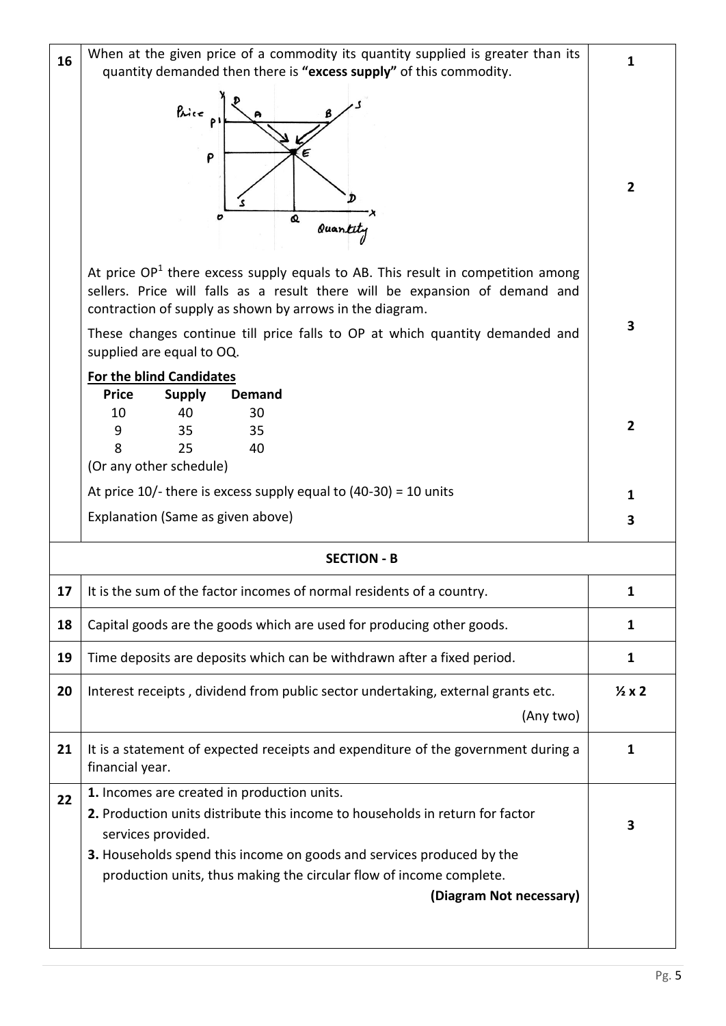| 16 | When at the given price of a commodity its quantity supplied is greater than its<br>quantity demanded then there is "excess supply" of this commodity.                                                                                                                                                                                    | 1               |  |  |  |
|----|-------------------------------------------------------------------------------------------------------------------------------------------------------------------------------------------------------------------------------------------------------------------------------------------------------------------------------------------|-----------------|--|--|--|
|    | Price<br>P<br>Q<br>O<br>Quantity                                                                                                                                                                                                                                                                                                          | $\overline{2}$  |  |  |  |
|    | At price $OP1$ there excess supply equals to AB. This result in competition among<br>sellers. Price will falls as a result there will be expansion of demand and<br>contraction of supply as shown by arrows in the diagram.<br>These changes continue till price falls to OP at which quantity demanded and<br>supplied are equal to OQ. | 3               |  |  |  |
|    | For the blind Candidates<br><b>Price</b><br><b>Supply</b><br><b>Demand</b><br>10<br>40<br>30<br>9<br>35<br>35<br>8<br>25<br>40<br>(Or any other schedule)                                                                                                                                                                                 | $\overline{2}$  |  |  |  |
|    | At price $10/$ - there is excess supply equal to $(40-30) = 10$ units                                                                                                                                                                                                                                                                     | 1               |  |  |  |
|    | Explanation (Same as given above)                                                                                                                                                                                                                                                                                                         | 3               |  |  |  |
|    | <b>SECTION - B</b>                                                                                                                                                                                                                                                                                                                        |                 |  |  |  |
|    |                                                                                                                                                                                                                                                                                                                                           |                 |  |  |  |
| 17 | It is the sum of the factor incomes of normal residents of a country.                                                                                                                                                                                                                                                                     | 1               |  |  |  |
| 18 | Capital goods are the goods which are used for producing other goods.                                                                                                                                                                                                                                                                     | $\mathbf{1}$    |  |  |  |
| 19 | Time deposits are deposits which can be withdrawn after a fixed period.                                                                                                                                                                                                                                                                   | 1               |  |  |  |
| 20 | Interest receipts, dividend from public sector undertaking, external grants etc.<br>(Any two)                                                                                                                                                                                                                                             | $\frac{1}{2}x2$ |  |  |  |
| 21 | It is a statement of expected receipts and expenditure of the government during a<br>financial year.                                                                                                                                                                                                                                      | 1               |  |  |  |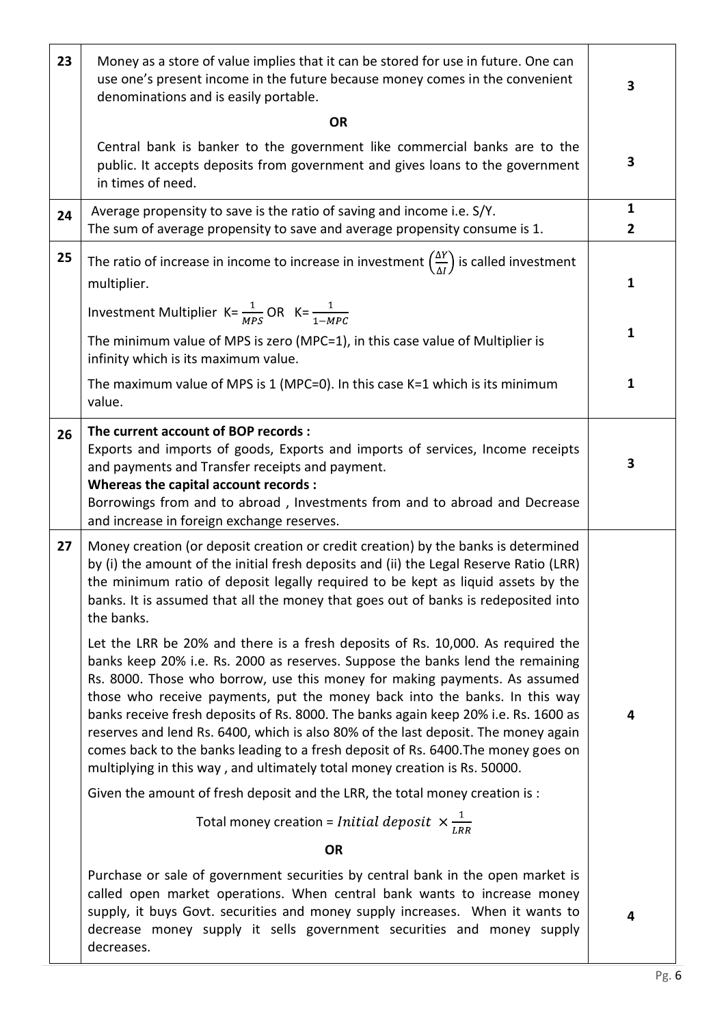| 23 | Money as a store of value implies that it can be stored for use in future. One can<br>use one's present income in the future because money comes in the convenient<br>denominations and is easily portable.                                                                                                                                                                                                                                                                                                                                                                                                                                                                   | 3                              |  |  |  |
|----|-------------------------------------------------------------------------------------------------------------------------------------------------------------------------------------------------------------------------------------------------------------------------------------------------------------------------------------------------------------------------------------------------------------------------------------------------------------------------------------------------------------------------------------------------------------------------------------------------------------------------------------------------------------------------------|--------------------------------|--|--|--|
|    | <b>OR</b>                                                                                                                                                                                                                                                                                                                                                                                                                                                                                                                                                                                                                                                                     |                                |  |  |  |
|    | Central bank is banker to the government like commercial banks are to the<br>public. It accepts deposits from government and gives loans to the government<br>in times of need.                                                                                                                                                                                                                                                                                                                                                                                                                                                                                               | 3                              |  |  |  |
| 24 | Average propensity to save is the ratio of saving and income i.e. S/Y.<br>The sum of average propensity to save and average propensity consume is 1.                                                                                                                                                                                                                                                                                                                                                                                                                                                                                                                          | $\mathbf{1}$<br>$\overline{2}$ |  |  |  |
| 25 | The ratio of increase in income to increase in investment $\left(\frac{\Delta Y}{\Delta l}\right)$ is called investment<br>multiplier.                                                                                                                                                                                                                                                                                                                                                                                                                                                                                                                                        | $\mathbf{1}$                   |  |  |  |
|    | Investment Multiplier K= $\frac{1}{MPS}$ OR K= $\frac{1}{1-MPC}$                                                                                                                                                                                                                                                                                                                                                                                                                                                                                                                                                                                                              |                                |  |  |  |
|    | The minimum value of MPS is zero (MPC=1), in this case value of Multiplier is<br>infinity which is its maximum value.                                                                                                                                                                                                                                                                                                                                                                                                                                                                                                                                                         | $\mathbf{1}$                   |  |  |  |
|    | The maximum value of MPS is 1 (MPC=0). In this case $K=1$ which is its minimum<br>value.                                                                                                                                                                                                                                                                                                                                                                                                                                                                                                                                                                                      | $\mathbf{1}$                   |  |  |  |
| 26 | The current account of BOP records :<br>Exports and imports of goods, Exports and imports of services, Income receipts<br>and payments and Transfer receipts and payment.<br>Whereas the capital account records :<br>Borrowings from and to abroad, Investments from and to abroad and Decrease                                                                                                                                                                                                                                                                                                                                                                              | 3                              |  |  |  |
| 27 | and increase in foreign exchange reserves.<br>Money creation (or deposit creation or credit creation) by the banks is determined<br>by (i) the amount of the initial fresh deposits and (ii) the Legal Reserve Ratio (LRR)<br>the minimum ratio of deposit legally required to be kept as liquid assets by the<br>banks. It is assumed that all the money that goes out of banks is redeposited into<br>the banks.                                                                                                                                                                                                                                                            |                                |  |  |  |
|    | Let the LRR be 20% and there is a fresh deposits of Rs. 10,000. As required the<br>banks keep 20% i.e. Rs. 2000 as reserves. Suppose the banks lend the remaining<br>Rs. 8000. Those who borrow, use this money for making payments. As assumed<br>those who receive payments, put the money back into the banks. In this way<br>banks receive fresh deposits of Rs. 8000. The banks again keep 20% i.e. Rs. 1600 as<br>reserves and lend Rs. 6400, which is also 80% of the last deposit. The money again<br>comes back to the banks leading to a fresh deposit of Rs. 6400. The money goes on<br>multiplying in this way, and ultimately total money creation is Rs. 50000. | 4                              |  |  |  |
|    | Given the amount of fresh deposit and the LRR, the total money creation is :                                                                                                                                                                                                                                                                                                                                                                                                                                                                                                                                                                                                  |                                |  |  |  |
|    | Total money creation = <i>Initial deposit</i> $\times \frac{1}{LRR}$                                                                                                                                                                                                                                                                                                                                                                                                                                                                                                                                                                                                          |                                |  |  |  |
|    | <b>OR</b>                                                                                                                                                                                                                                                                                                                                                                                                                                                                                                                                                                                                                                                                     |                                |  |  |  |
|    | Purchase or sale of government securities by central bank in the open market is<br>called open market operations. When central bank wants to increase money<br>supply, it buys Govt. securities and money supply increases. When it wants to<br>decrease money supply it sells government securities and money supply<br>decreases.                                                                                                                                                                                                                                                                                                                                           | 4                              |  |  |  |

٦